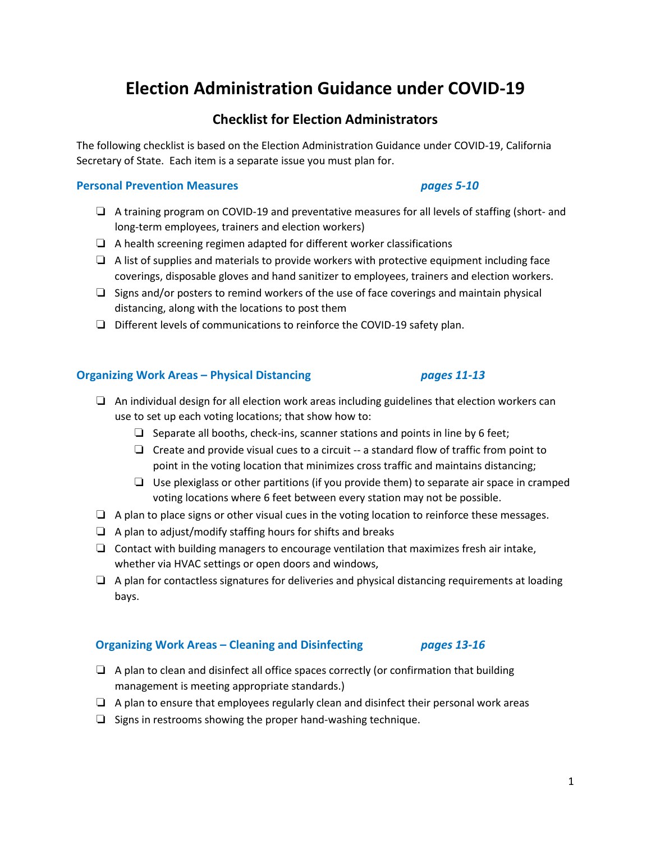# **Election Administration Guidance under COVID-19**

# **Checklist for Election Administrators**

The following checklist is based on the Election Administration Guidance under COVID-19, California Secretary of State. Each item is a separate issue you must plan for.

### **Personal Prevention Measures** *pages 5-10*

- ❏ A training program on COVID-19 and preventative measures for all levels of staffing (short- and long-term employees, trainers and election workers)
- ❏ A health screening regimen adapted for different worker classifications
- $\Box$  A list of supplies and materials to provide workers with protective equipment including face coverings, disposable gloves and hand sanitizer to employees, trainers and election workers.
- $\Box$  Signs and/or posters to remind workers of the use of face coverings and maintain physical distancing, along with the locations to post them
- ❏ Different levels of communications to reinforce the COVID-19 safety plan.

### **Organizing Work Areas – Physical Distancing** *pages 11-13*

### ❏ An individual design for all election work areas including guidelines that election workers can use to set up each voting locations; that show how to:

- $\Box$  Separate all booths, check-ins, scanner stations and points in line by 6 feet;
- ❏ Create and provide visual cues to a circuit -- a standard flow of traffic from point to point in the voting location that minimizes cross traffic and maintains distancing;
- $\Box$  Use plexiglass or other partitions (if you provide them) to separate air space in cramped voting locations where 6 feet between every station may not be possible.
- $\Box$  A plan to place signs or other visual cues in the voting location to reinforce these messages.
- ❏ A plan to adjust/modify staffing hours for shifts and breaks
- ❏ Contact with building managers to encourage ventilation that maximizes fresh air intake, whether via HVAC settings or open doors and windows,
- ❏ A plan for contactless signatures for deliveries and physical distancing requirements at loading bays.

### **Organizing Work Areas – Cleaning and Disinfecting** *pages 13-16*

- ❏ A plan to clean and disinfect all office spaces correctly (or confirmation that building management is meeting appropriate standards.)
- ❏ A plan to ensure that employees regularly clean and disinfect their personal work areas
- ❏ Signs in restrooms showing the proper hand-washing technique.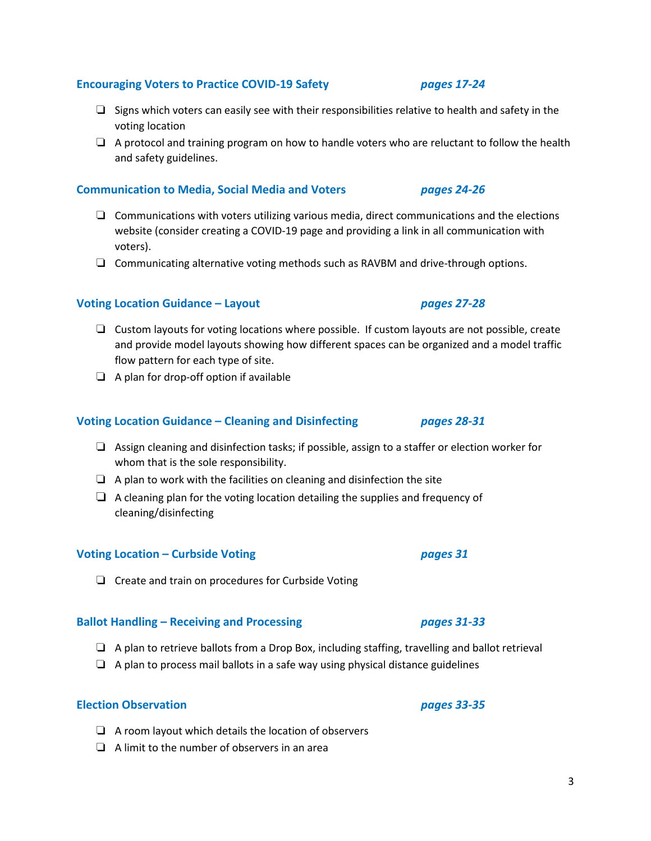### **Encouraging Voters to Practice COVID-19 Safety** *pages 17-24*

- $□$  Signs which voters can easily see with their responsibilities relative to health and safety in the voting location
- ❏ A protocol and training program on how to handle voters who are reluctant to follow the health and safety guidelines.

### **Communication to Media, Social Media and Voters** *pages 24-26*

- ❏ Communications with voters utilizing various media, direct communications and the elections website (consider creating a COVID-19 page and providing a link in all communication with voters).
- ❏ Communicating alternative voting methods such as RAVBM and drive-through options.

# **Voting Location Guidance – Layout** *pages 27-28*

- ❏ Custom layouts for voting locations where possible. If custom layouts are not possible, create and provide model layouts showing how different spaces can be organized and a model traffic flow pattern for each type of site.
- ❏ A plan for drop-off option if available

### **Voting Location Guidance – Cleaning and Disinfecting** *pages 28-31*

- ❏ Assign cleaning and disinfection tasks; if possible, assign to a staffer or election worker for whom that is the sole responsibility.
- $\Box$  A plan to work with the facilities on cleaning and disinfection the site
- $\Box$  A cleaning plan for the voting location detailing the supplies and frequency of cleaning/disinfecting

# **Voting Location – Curbside Voting** *pages 31*

❏ Create and train on procedures for Curbside Voting

### **Ballot Handling – Receiving and Processing** *pages 31-33*

- ❏ A plan to retrieve ballots from a Drop Box, including staffing, travelling and ballot retrieval
- ❏ A plan to process mail ballots in a safe way using physical distance guidelines

# **Election Observation** *pages 33-35*

- ❏ A room layout which details the location of observers
- ❏ A limit to the number of observers in an area